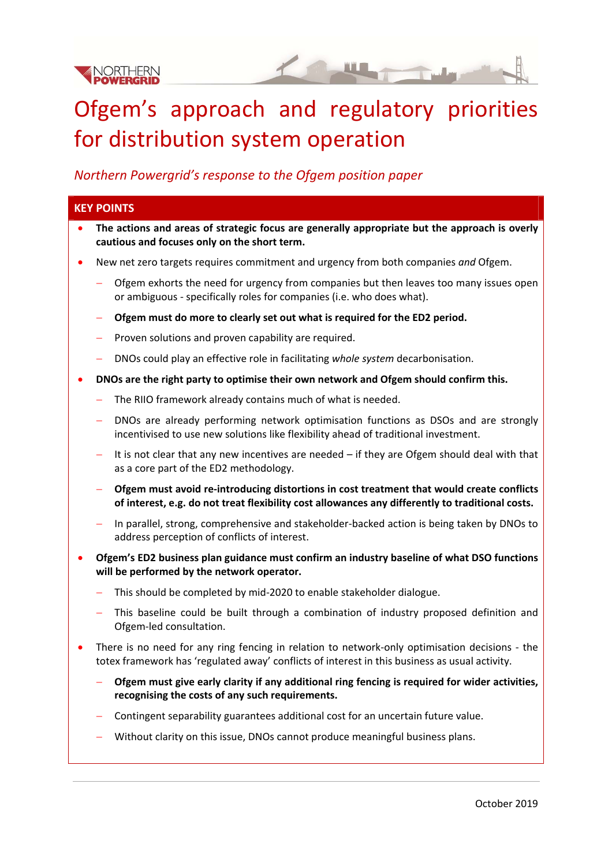

# Ofgem's approach and regulatory priorities for distribution system operation

#### *Northern Powergrid's response to the Ofgem position paper*

# **KEY POINTS The actions and areas of strategic focus are generally appropriate but the approach is overly cautious and focuses only on the short term.**  New net zero targets requires commitment and urgency from both companies *and* Ofgem. Ofgem exhorts the need for urgency from companies but then leaves too many issues open or ambiguous ‐ specifically roles for companies (i.e. who does what). **Ofgem must do more to clearly set out what is required for the ED2 period.**  $P$  Proven solutions and proven capability are required. DNOs could play an effective role in facilitating *whole system* decarbonisation. **DNOs are the right party to optimise their own network and Ofgem should confirm this.** The RIIO framework already contains much of what is needed. DNOs are already performing network optimisation functions as DSOs and are strongly incentivised to use new solutions like flexibility ahead of traditional investment.  $-$  It is not clear that any new incentives are needed  $-$  if they are Ofgem should deal with that as a core part of the ED2 methodology. **Ofgem must avoid re‐introducing distortions in cost treatment that would create conflicts of interest, e.g. do not treat flexibility cost allowances any differently to traditional costs.** In parallel, strong, comprehensive and stakeholder‐backed action is being taken by DNOs to address perception of conflicts of interest. **Ofgem's ED2 business plan guidance must confirm an industry baseline of what DSO functions will be performed by the network operator.** This should be completed by mid‐2020 to enable stakeholder dialogue. This baseline could be built through a combination of industry proposed definition and Ofgem‐led consultation. There is no need for any ring fencing in relation to network-only optimisation decisions - the totex framework has 'regulated away' conflicts of interest in this business as usual activity. **Ofgem must give early clarity if any additional ring fencing is required for wider activities, recognising the costs of any such requirements.**

- Contingent separability guarantees additional cost for an uncertain future value.
- Without clarity on this issue, DNOs cannot produce meaningful business plans.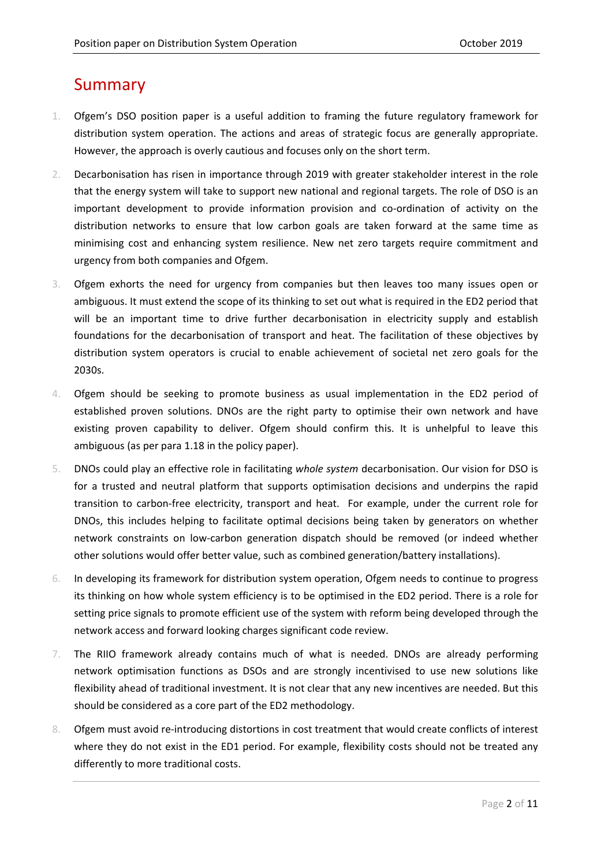# Summary

- 1. Ofgem's DSO position paper is a useful addition to framing the future regulatory framework for distribution system operation. The actions and areas of strategic focus are generally appropriate. However, the approach is overly cautious and focuses only on the short term.
- 2. Decarbonisation has risen in importance through 2019 with greater stakeholder interest in the role that the energy system will take to support new national and regional targets. The role of DSO is an important development to provide information provision and co-ordination of activity on the distribution networks to ensure that low carbon goals are taken forward at the same time as minimising cost and enhancing system resilience. New net zero targets require commitment and urgency from both companies and Ofgem.
- 3. Ofgem exhorts the need for urgency from companies but then leaves too many issues open or ambiguous. It must extend the scope of its thinking to set out what is required in the ED2 period that will be an important time to drive further decarbonisation in electricity supply and establish foundations for the decarbonisation of transport and heat. The facilitation of these objectives by distribution system operators is crucial to enable achievement of societal net zero goals for the 2030s.
- 4. Ofgem should be seeking to promote business as usual implementation in the ED2 period of established proven solutions. DNOs are the right party to optimise their own network and have existing proven capability to deliver. Ofgem should confirm this. It is unhelpful to leave this ambiguous (as per para 1.18 in the policy paper).
- 5. DNOs could play an effective role in facilitating *whole system* decarbonisation. Our vision for DSO is for a trusted and neutral platform that supports optimisation decisions and underpins the rapid transition to carbon‐free electricity, transport and heat. For example, under the current role for DNOs, this includes helping to facilitate optimal decisions being taken by generators on whether network constraints on low‐carbon generation dispatch should be removed (or indeed whether other solutions would offer better value, such as combined generation/battery installations).
- 6. In developing its framework for distribution system operation, Ofgem needs to continue to progress its thinking on how whole system efficiency is to be optimised in the ED2 period. There is a role for setting price signals to promote efficient use of the system with reform being developed through the network access and forward looking charges significant code review.
- 7. The RIIO framework already contains much of what is needed. DNOs are already performing network optimisation functions as DSOs and are strongly incentivised to use new solutions like flexibility ahead of traditional investment. It is not clear that any new incentives are needed. But this should be considered as a core part of the ED2 methodology.
- 8. Ofgem must avoid re-introducing distortions in cost treatment that would create conflicts of interest where they do not exist in the ED1 period. For example, flexibility costs should not be treated any differently to more traditional costs.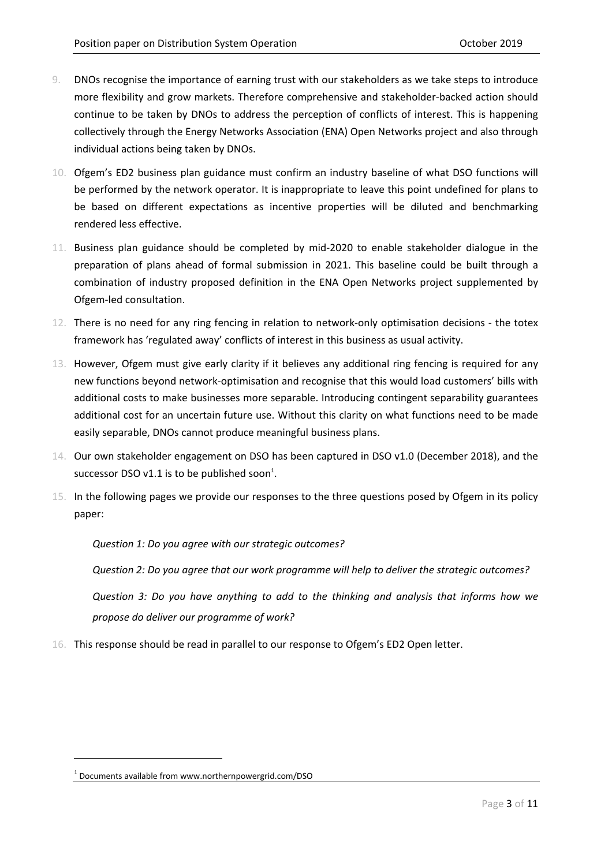- 9. DNOs recognise the importance of earning trust with our stakeholders as we take steps to introduce more flexibility and grow markets. Therefore comprehensive and stakeholder‐backed action should continue to be taken by DNOs to address the perception of conflicts of interest. This is happening collectively through the Energy Networks Association (ENA) Open Networks project and also through individual actions being taken by DNOs.
- 10. Ofgem's ED2 business plan guidance must confirm an industry baseline of what DSO functions will be performed by the network operator. It is inappropriate to leave this point undefined for plans to be based on different expectations as incentive properties will be diluted and benchmarking rendered less effective.
- 11. Business plan guidance should be completed by mid‐2020 to enable stakeholder dialogue in the preparation of plans ahead of formal submission in 2021. This baseline could be built through a combination of industry proposed definition in the ENA Open Networks project supplemented by Ofgem‐led consultation.
- 12. There is no need for any ring fencing in relation to network‐only optimisation decisions ‐ the totex framework has 'regulated away' conflicts of interest in this business as usual activity.
- 13. However, Ofgem must give early clarity if it believes any additional ring fencing is required for any new functions beyond network‐optimisation and recognise that this would load customers' bills with additional costs to make businesses more separable. Introducing contingent separability guarantees additional cost for an uncertain future use. Without this clarity on what functions need to be made easily separable, DNOs cannot produce meaningful business plans.
- 14. Our own stakeholder engagement on DSO has been captured in DSO v1.0 (December 2018), and the successor DSO v1.1 is to be published soon<sup>1</sup>.
- 15. In the following pages we provide our responses to the three questions posed by Ofgem in its policy paper:

*Question 1: Do you agree with our strategic outcomes?*

*Question 2: Do you agree that our work programme will help to deliver the strategic outcomes?*

*Question 3: Do you have anything to add to the thinking and analysis that informs how we propose do deliver our programme of work?*

16. This response should be read in parallel to our response to Ofgem's ED2 Open letter.

<sup>1</sup> Documents available from www.northernpowergrid.com/DSO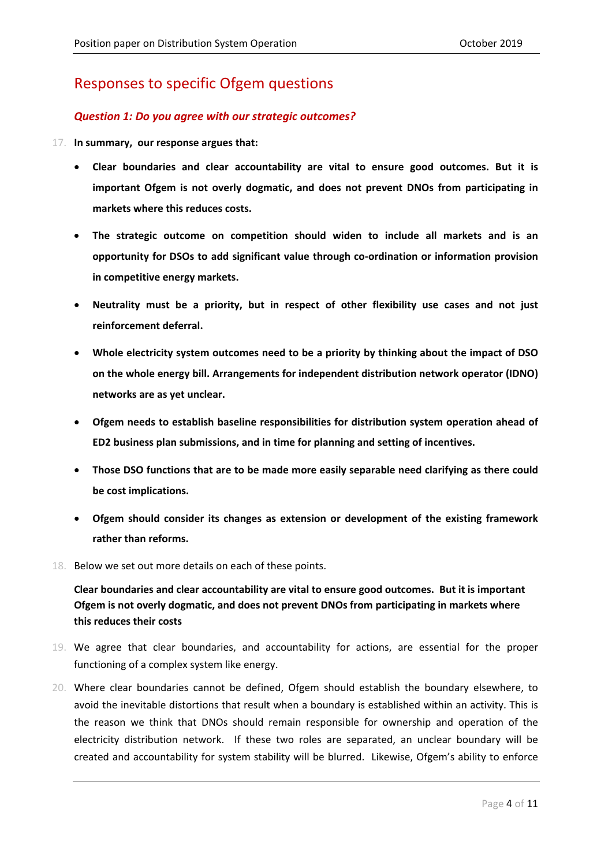# Responses to specific Ofgem questions

#### *Question 1: Do you agree with our strategic outcomes?*

- 17. **In summary, our response argues that:**
	- **Clear boundaries and clear accountability are vital to ensure good outcomes. But it is important Ofgem is not overly dogmatic, and does not prevent DNOs from participating in markets where this reduces costs.**
	- **The strategic outcome on competition should widen to include all markets and is an opportunity for DSOs to add significant value through co‐ordination or information provision in competitive energy markets.**
	- **Neutrality must be a priority, but in respect of other flexibility use cases and not just reinforcement deferral.**
	- **Whole electricity system outcomes need to be a priority by thinking about the impact of DSO on the whole energy bill. Arrangements for independent distribution network operator (IDNO) networks are as yet unclear.**
	- **Ofgem needs to establish baseline responsibilities for distribution system operation ahead of ED2 business plan submissions, and in time for planning and setting of incentives.**
	- **Those DSO functions that are to be made more easily separable need clarifying as there could be cost implications.**
	- **Ofgem should consider its changes as extension or development of the existing framework rather than reforms.**
- 18. Below we set out more details on each of these points.

**Clear boundaries and clear accountability are vital to ensure good outcomes. But it is important Ofgem is not overly dogmatic, and does not prevent DNOs from participating in markets where this reduces their costs**

- 19. We agree that clear boundaries, and accountability for actions, are essential for the proper functioning of a complex system like energy.
- 20. Where clear boundaries cannot be defined, Ofgem should establish the boundary elsewhere, to avoid the inevitable distortions that result when a boundary is established within an activity. This is the reason we think that DNOs should remain responsible for ownership and operation of the electricity distribution network. If these two roles are separated, an unclear boundary will be created and accountability for system stability will be blurred. Likewise, Ofgem's ability to enforce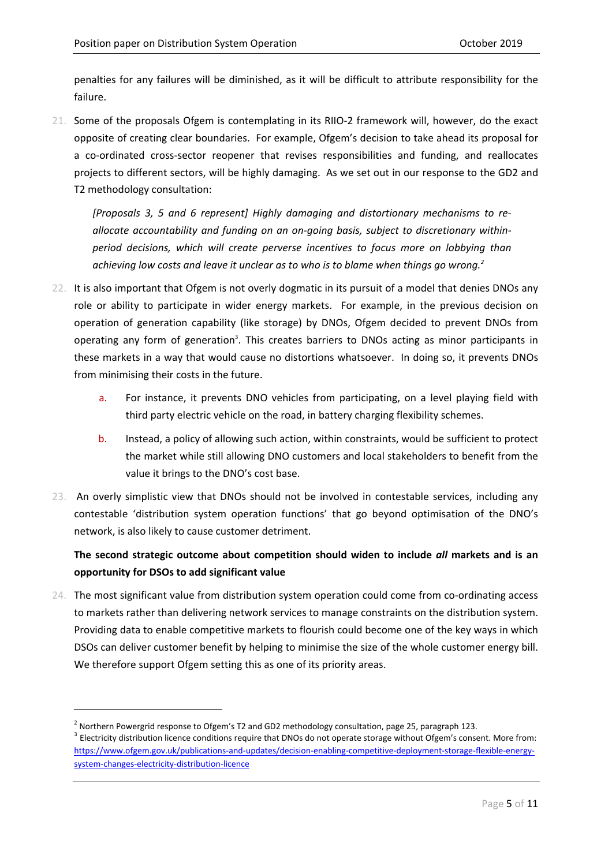penalties for any failures will be diminished, as it will be difficult to attribute responsibility for the failure.

21. Some of the proposals Ofgem is contemplating in its RIIO-2 framework will, however, do the exact opposite of creating clear boundaries. For example, Ofgem's decision to take ahead its proposal for a co-ordinated cross-sector reopener that revises responsibilities and funding, and reallocates projects to different sectors, will be highly damaging. As we set out in our response to the GD2 and T2 methodology consultation:

*[Proposals 3, 5 and 6 represent] Highly damaging and distortionary mechanisms to re‐ allocate accountability and funding on an on‐going basis, subject to discretionary within‐ period decisions, which will create perverse incentives to focus more on lobbying than achieving low costs and leave it unclear as to who is to blame when things go wrong.2* 

- 22. It is also important that Ofgem is not overly dogmatic in its pursuit of a model that denies DNOs any role or ability to participate in wider energy markets. For example, in the previous decision on operation of generation capability (like storage) by DNOs, Ofgem decided to prevent DNOs from operating any form of generation<sup>3</sup>. This creates barriers to DNOs acting as minor participants in these markets in a way that would cause no distortions whatsoever. In doing so, it prevents DNOs from minimising their costs in the future.
	- a. For instance, it prevents DNO vehicles from participating, on a level playing field with third party electric vehicle on the road, in battery charging flexibility schemes.
	- b. Instead, a policy of allowing such action, within constraints, would be sufficient to protect the market while still allowing DNO customers and local stakeholders to benefit from the value it brings to the DNO's cost base.
- 23. An overly simplistic view that DNOs should not be involved in contestable services, including any contestable 'distribution system operation functions' that go beyond optimisation of the DNO's network, is also likely to cause customer detriment.

#### **The second strategic outcome about competition should widen to include** *all* **markets and is an opportunity for DSOs to add significant value**

24. The most significant value from distribution system operation could come from co-ordinating access to markets rather than delivering network services to manage constraints on the distribution system. Providing data to enable competitive markets to flourish could become one of the key ways in which DSOs can deliver customer benefit by helping to minimise the size of the whole customer energy bill. We therefore support Ofgem setting this as one of its priority areas.

<sup>&</sup>lt;sup>2</sup> Northern Powergrid response to Ofgem's T2 and GD2 methodology consultation, page 25, paragraph 123.  $3$  Electricity distribution licence conditions require that DNOs do not operate storage without Ofgem's consent. Mor https://www.ofgem.gov.uk/publications-and-updates/decision-enabling-competitive-deployment-storage-flexible-energysystem‐changes‐electricity‐distribution‐licence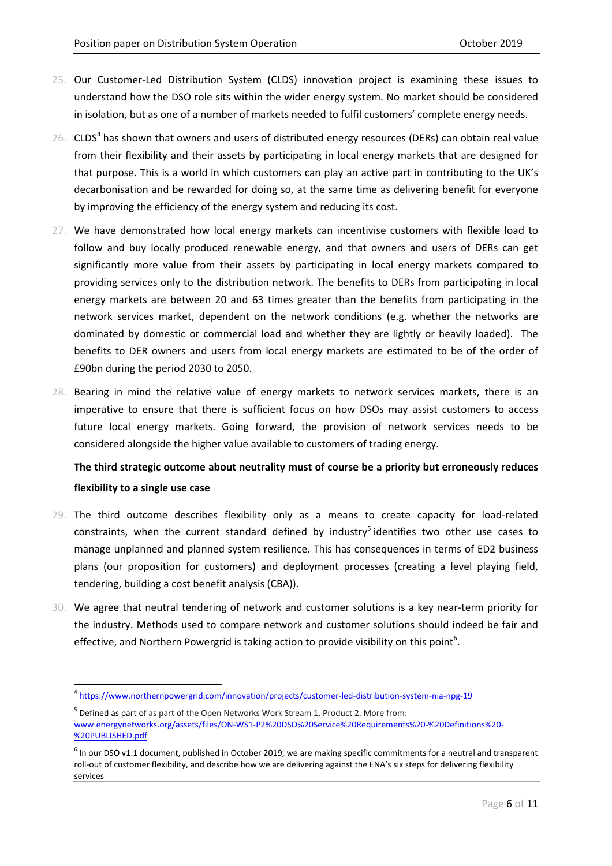- 25. Our Customer‐Led Distribution System (CLDS) innovation project is examining these issues to understand how the DSO role sits within the wider energy system. No market should be considered in isolation, but as one of a number of markets needed to fulfil customers' complete energy needs.
- 26.  $CLDS<sup>4</sup>$  has shown that owners and users of distributed energy resources (DERs) can obtain real value from their flexibility and their assets by participating in local energy markets that are designed for that purpose. This is a world in which customers can play an active part in contributing to the UK's decarbonisation and be rewarded for doing so, at the same time as delivering benefit for everyone by improving the efficiency of the energy system and reducing its cost.
- 27. We have demonstrated how local energy markets can incentivise customers with flexible load to follow and buy locally produced renewable energy, and that owners and users of DERs can get significantly more value from their assets by participating in local energy markets compared to providing services only to the distribution network. The benefits to DERs from participating in local energy markets are between 20 and 63 times greater than the benefits from participating in the network services market, dependent on the network conditions (e.g. whether the networks are dominated by domestic or commercial load and whether they are lightly or heavily loaded). The benefits to DER owners and users from local energy markets are estimated to be of the order of £90bn during the period 2030 to 2050.
- 28. Bearing in mind the relative value of energy markets to network services markets, there is an imperative to ensure that there is sufficient focus on how DSOs may assist customers to access future local energy markets. Going forward, the provision of network services needs to be considered alongside the higher value available to customers of trading energy.

### **The third strategic outcome about neutrality must of course be a priority but erroneously reduces flexibility to a single use case**

- 29. The third outcome describes flexibility only as a means to create capacity for load-related constraints, when the current standard defined by industry<sup>5</sup> identifies two other use cases to manage unplanned and planned system resilience. This has consequences in terms of ED2 business plans (our proposition for customers) and deployment processes (creating a level playing field, tendering, building a cost benefit analysis (CBA)).
- 30. We agree that neutral tendering of network and customer solutions is a key near‐term priority for the industry. Methods used to compare network and customer solutions should indeed be fair and effective, and Northern Powergrid is taking action to provide visibility on this point<sup>6</sup>.

<sup>4</sup> https://www.northernpowergrid.com/innovation/projects/customer‐led‐distribution‐system‐nia‐npg‐19

<sup>5</sup> Defined as part of as part of the Open Networks Work Stream 1, Product 2. More from: www.energynetworks.org/assets/files/ON‐WS1‐P2%20DSO%20Service%20Requirements%20‐%20Definitions%20‐ %20PUBLISHED.pdf

 $6$  In our DSO v1.1 document, published in October 2019, we are making specific commitments for a neutral and transparent roll-out of customer flexibility, and describe how we are delivering against the ENA's six steps for delivering flexibility services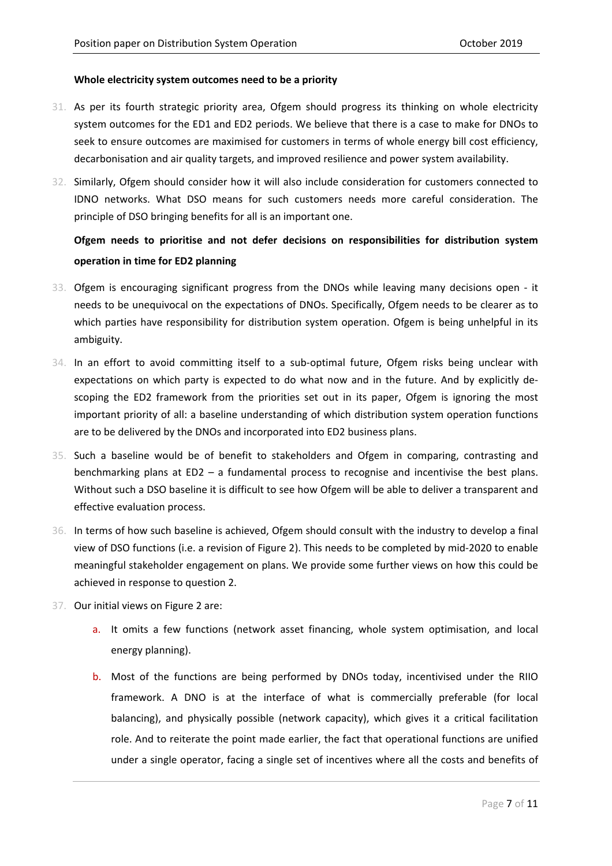#### **Whole electricity system outcomes need to be a priority**

- 31. As per its fourth strategic priority area, Ofgem should progress its thinking on whole electricity system outcomes for the ED1 and ED2 periods. We believe that there is a case to make for DNOs to seek to ensure outcomes are maximised for customers in terms of whole energy bill cost efficiency, decarbonisation and air quality targets, and improved resilience and power system availability.
- 32. Similarly, Ofgem should consider how it will also include consideration for customers connected to IDNO networks. What DSO means for such customers needs more careful consideration. The principle of DSO bringing benefits for all is an important one.

## **Ofgem needs to prioritise and not defer decisions on responsibilities for distribution system operation in time for ED2 planning**

- 33. Ofgem is encouraging significant progress from the DNOs while leaving many decisions open ‐ it needs to be unequivocal on the expectations of DNOs. Specifically, Ofgem needs to be clearer as to which parties have responsibility for distribution system operation. Ofgem is being unhelpful in its ambiguity.
- 34. In an effort to avoid committing itself to a sub-optimal future, Ofgem risks being unclear with expectations on which party is expected to do what now and in the future. And by explicitly de‐ scoping the ED2 framework from the priorities set out in its paper, Ofgem is ignoring the most important priority of all: a baseline understanding of which distribution system operation functions are to be delivered by the DNOs and incorporated into ED2 business plans.
- 35. Such a baseline would be of benefit to stakeholders and Ofgem in comparing, contrasting and benchmarking plans at ED2 – a fundamental process to recognise and incentivise the best plans. Without such a DSO baseline it is difficult to see how Ofgem will be able to deliver a transparent and effective evaluation process.
- 36. In terms of how such baseline is achieved, Ofgem should consult with the industry to develop a final view of DSO functions (i.e. a revision of Figure 2). This needs to be completed by mid‐2020 to enable meaningful stakeholder engagement on plans. We provide some further views on how this could be achieved in response to question 2.
- 37. Our initial views on Figure 2 are:
	- a. It omits a few functions (network asset financing, whole system optimisation, and local energy planning).
	- b. Most of the functions are being performed by DNOs today, incentivised under the RIIO framework. A DNO is at the interface of what is commercially preferable (for local balancing), and physically possible (network capacity), which gives it a critical facilitation role. And to reiterate the point made earlier, the fact that operational functions are unified under a single operator, facing a single set of incentives where all the costs and benefits of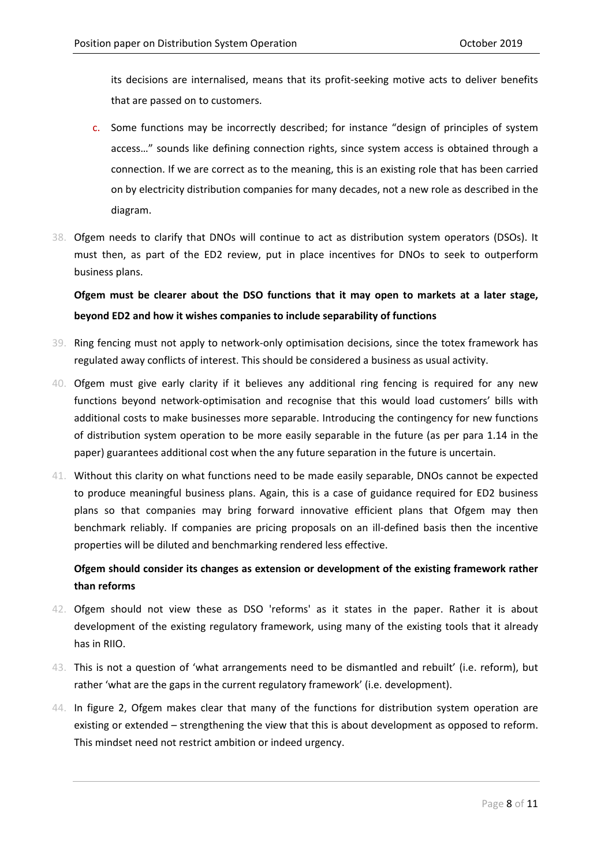its decisions are internalised, means that its profit‐seeking motive acts to deliver benefits that are passed on to customers.

- c. Some functions may be incorrectly described; for instance "design of principles of system access…" sounds like defining connection rights, since system access is obtained through a connection. If we are correct as to the meaning, this is an existing role that has been carried on by electricity distribution companies for many decades, not a new role as described in the diagram.
- 38. Ofgem needs to clarify that DNOs will continue to act as distribution system operators (DSOs). It must then, as part of the ED2 review, put in place incentives for DNOs to seek to outperform business plans.

**Ofgem must be clearer about the DSO functions that it may open to markets at a later stage, beyond ED2 and how it wishes companies to include separability of functions**

- 39. Ring fencing must not apply to network‐only optimisation decisions, since the totex framework has regulated away conflicts of interest. This should be considered a business as usual activity.
- 40. Ofgem must give early clarity if it believes any additional ring fencing is required for any new functions beyond network-optimisation and recognise that this would load customers' bills with additional costs to make businesses more separable. Introducing the contingency for new functions of distribution system operation to be more easily separable in the future (as per para 1.14 in the paper) guarantees additional cost when the any future separation in the future is uncertain.
- 41. Without this clarity on what functions need to be made easily separable, DNOs cannot be expected to produce meaningful business plans. Again, this is a case of guidance required for ED2 business plans so that companies may bring forward innovative efficient plans that Ofgem may then benchmark reliably. If companies are pricing proposals on an ill-defined basis then the incentive properties will be diluted and benchmarking rendered less effective.

#### **Ofgem should consider its changes as extension or development of the existing framework rather than reforms**

- 42. Ofgem should not view these as DSO 'reforms' as it states in the paper. Rather it is about development of the existing regulatory framework, using many of the existing tools that it already has in RIIO.
- 43. This is not a question of 'what arrangements need to be dismantled and rebuilt' (i.e. reform), but rather 'what are the gaps in the current regulatory framework' (i.e. development).
- 44. In figure 2, Ofgem makes clear that many of the functions for distribution system operation are existing or extended – strengthening the view that this is about development as opposed to reform. This mindset need not restrict ambition or indeed urgency.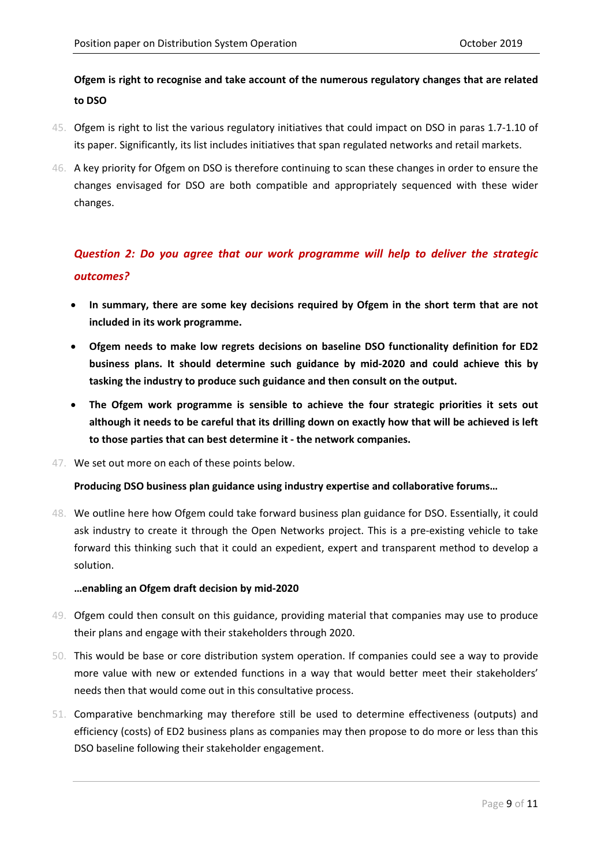#### **Ofgem is right to recognise and take account of the numerous regulatory changes that are related to DSO**

- 45. Ofgem is right to list the various regulatory initiatives that could impact on DSO in paras 1.7-1.10 of its paper. Significantly, its list includes initiatives that span regulated networks and retail markets.
- 46. A key priority for Ofgem on DSO is therefore continuing to scan these changes in order to ensure the changes envisaged for DSO are both compatible and appropriately sequenced with these wider changes.

# *Question 2: Do you agree that our work programme will help to deliver the strategic outcomes?*

- **In summary, there are some key decisions required by Ofgem in the short term that are not included in its work programme.**
- **Ofgem needs to make low regrets decisions on baseline DSO functionality definition for ED2 business plans. It should determine such guidance by mid‐2020 and could achieve this by tasking the industry to produce such guidance and then consult on the output.**
- **The Ofgem work programme is sensible to achieve the four strategic priorities it sets out** although it needs to be careful that its drilling down on exactly how that will be achieved is left **to those parties that can best determine it ‐ the network companies.**
- 47. We set out more on each of these points below.

#### **Producing DSO business plan guidance using industry expertise and collaborative forums…**

48. We outline here how Ofgem could take forward business plan guidance for DSO. Essentially, it could ask industry to create it through the Open Networks project. This is a pre-existing vehicle to take forward this thinking such that it could an expedient, expert and transparent method to develop a solution.

#### **…enabling an Ofgem draft decision by mid‐2020**

- 49. Ofgem could then consult on this guidance, providing material that companies may use to produce their plans and engage with their stakeholders through 2020.
- 50. This would be base or core distribution system operation. If companies could see a way to provide more value with new or extended functions in a way that would better meet their stakeholders' needs then that would come out in this consultative process.
- 51. Comparative benchmarking may therefore still be used to determine effectiveness (outputs) and efficiency (costs) of ED2 business plans as companies may then propose to do more or less than this DSO baseline following their stakeholder engagement.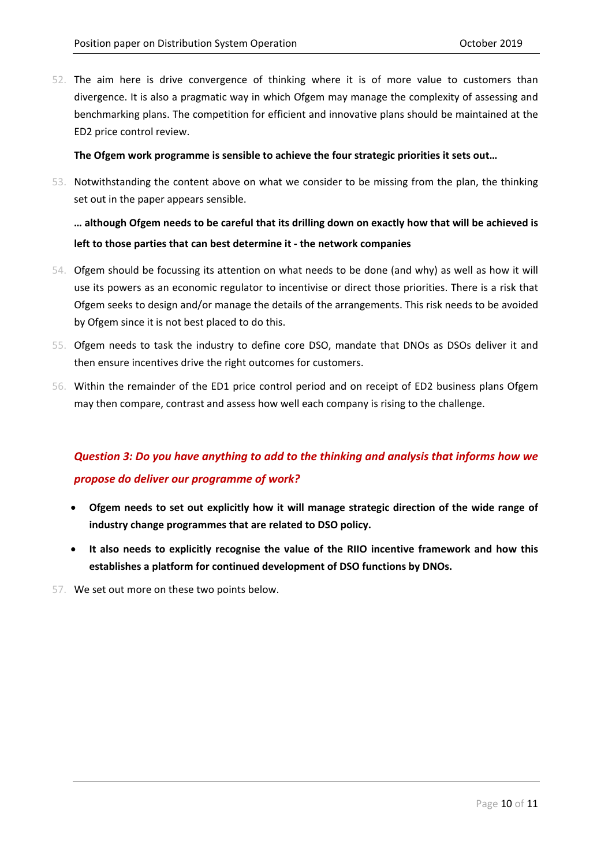52. The aim here is drive convergence of thinking where it is of more value to customers than divergence. It is also a pragmatic way in which Ofgem may manage the complexity of assessing and benchmarking plans. The competition for efficient and innovative plans should be maintained at the ED2 price control review.

#### **The Ofgem work programme is sensible to achieve the four strategic priorities it sets out…**

53. Notwithstanding the content above on what we consider to be missing from the plan, the thinking set out in the paper appears sensible.

## ... although Ofgem needs to be careful that its drilling down on exactly how that will be achieved is **left to those parties that can best determine it ‐ the network companies**

- 54. Ofgem should be focussing its attention on what needs to be done (and why) as well as how it will use its powers as an economic regulator to incentivise or direct those priorities. There is a risk that Ofgem seeks to design and/or manage the details of the arrangements. This risk needs to be avoided by Ofgem since it is not best placed to do this.
- 55. Ofgem needs to task the industry to define core DSO, mandate that DNOs as DSOs deliver it and then ensure incentives drive the right outcomes for customers.
- 56. Within the remainder of the ED1 price control period and on receipt of ED2 business plans Ofgem may then compare, contrast and assess how well each company is rising to the challenge.

# *Question 3: Do you have anything to add to the thinking and analysis that informs how we propose do deliver our programme of work?*

- **Ofgem needs to set out explicitly how it will manage strategic direction of the wide range of industry change programmes that are related to DSO policy.**
- **It also needs to explicitly recognise the value of the RIIO incentive framework and how this establishes a platform for continued development of DSO functions by DNOs.**

57. We set out more on these two points below.